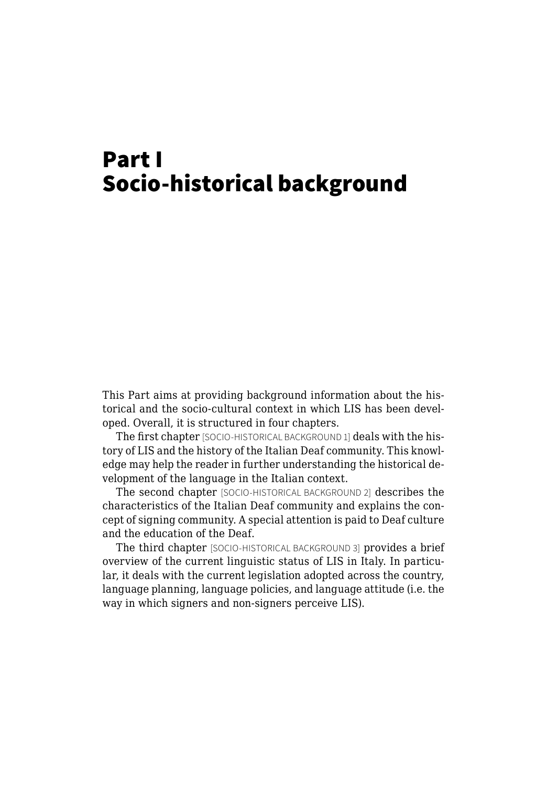## Part I Socio-historical background

This Part aims at providing background information about the historical and the socio-cultural context in which LIS has been developed. Overall, it is structured in four chapters.

The first chapter [SOCIO-HISTORICAL BACKGROUND 1] deals with the history of LIS and the history of the Italian Deaf community. This knowledge may help the reader in further understanding the historical development of the language in the Italian context.

The second chapter [SOCIO-HISTORICAL BACKGROUND 2] describes the characteristics of the Italian Deaf community and explains the concept of signing community. A special attention is paid to Deaf culture and the education of the Deaf.

The third chapter [SOCIO-HISTORICAL BACKGROUND 3] provides a brief overview of the current linguistic status of LIS in Italy. In particular, it deals with the current legislation adopted across the country, language planning, language policies, and language attitude (i.e. the way in which signers and non-signers perceive LIS).